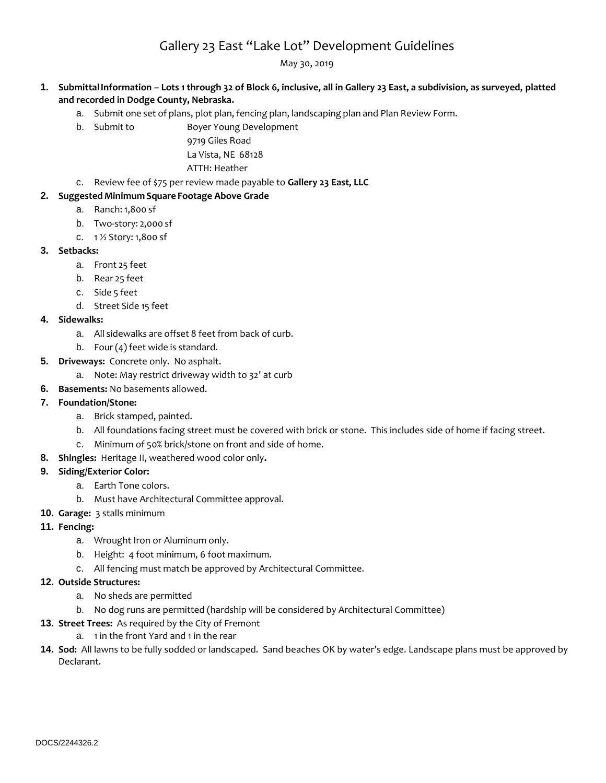# Gallery 23 East "Lake Lot" Development Guidelines

May 30, 2019

## **1. SubmittalInformation – Lots 1 through 32 of Block 6, inclusive, all in Gallery 23 East, a subdivision, as surveyed, platted and recorded in Dodge County, Nebraska.**

- a. Submit one set of plans, plot plan, fencing plan, landscaping plan and Plan Review Form.
- b. Submit to Boyer Young Development

9719 Giles Road La Vista, NE 68128 ATTH: Heather

c. Review fee of \$75 per review made payable to **Gallery 23 East, LLC**

## **2. Suggested Minimum Square Footage Above Grade**

- a. Ranch: 1,800 sf
- b. Two-story: 2,000 sf
- c. 1 ½ Story: 1,800 sf

## **3. Setbacks:**

- a. Front 25 feet
- b. Rear 25 feet
- c. Side 5 feet
- d. Street Side 15 feet
- **4. Sidewalks:**
	- a. All sidewalks are offset 8 feet from back of curb.
	- b. Four (4) feet wide is standard.
- **5. Driveways:** Concrete only. No asphalt.
	- a. Note: May restrict driveway width to 32' at curb
- **6. Basements:** No basements allowed.

## **7. Foundation/Stone:**

- a. Brick stamped, painted.
- b. All foundations facing street must be covered with brick or stone. This includes side of home if facing street.
- c. Minimum of 50% brick/stone on front and side of home.
- **8. Shingles:** Heritage II, weathered wood color only**.**

### **9. Siding/Exterior Color:**

- a. Earth Tone colors.
	- b. Must have Architectural Committee approval.
- **10. Garage:** 3 stalls minimum
- **11. Fencing:**
	- a. Wrought Iron or Aluminum only.
	- b. Height: 4 foot minimum, 6 foot maximum.
	- c. All fencing must match be approved by Architectural Committee.

## **12. Outside Structures:**

- a. No sheds are permitted
- b. No dog runs are permitted (hardship will be considered by Architectural Committee)
- **13. Street Trees:** As required by the City of Fremont
	- a. 1 in the front Yard and 1 in the rear
- **14. Sod:** All lawns to be fully sodded or landscaped. Sand beaches OK by water's edge. Landscape plans must be approved by Declarant.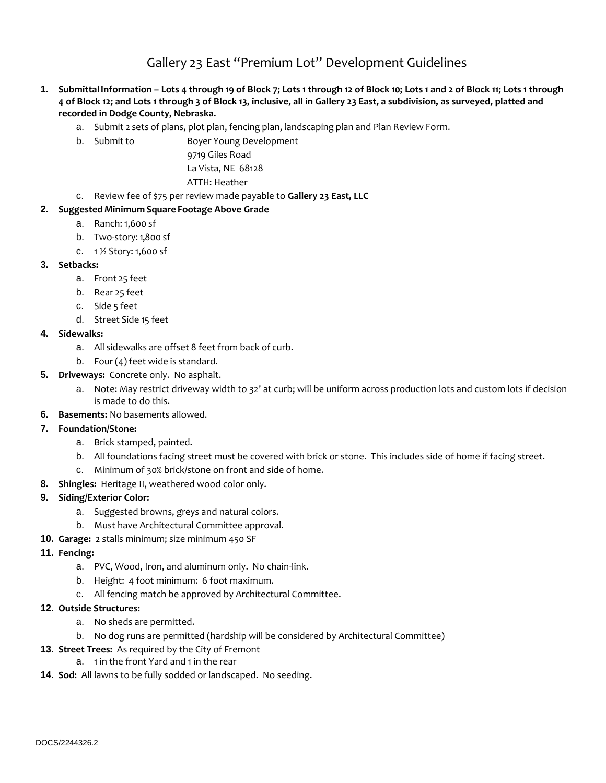Gallery 23 East "Premium Lot" Development Guidelines

- **1. SubmittalInformation – Lots 4 through 19 of Block 7; Lots 1 through 12 of Block 10; Lots 1 and 2 of Block 11; Lots 1 through 4 of Block 12; and Lots 1 through 3 of Block 13, inclusive, all in Gallery 23 East, a subdivision, as surveyed, platted and recorded in Dodge County, Nebraska.**
	- a. Submit 2 sets of plans, plot plan, fencing plan, landscaping plan and Plan Review Form.
	- b. Submit to Boyer Young Development

9719 Giles Road La Vista, NE 68128 ATTH: Heather

c. Review fee of \$75 per review made payable to **Gallery 23 East, LLC**

### **2. Suggested Minimum Square Footage Above Grade**

- a. Ranch: 1,600 sf
- b. Two-story:1,800 sf
- c. 1 ½ Story: 1,600 sf

#### **3. Setbacks:**

- a. Front 25 feet
- b. Rear 25 feet
- c. Side 5 feet
- d. Street Side 15 feet

#### **4. Sidewalks:**

- a. All sidewalks are offset 8 feet from back of curb.
- b. Four (4) feet wide is standard.
- **5. Driveways:** Concrete only. No asphalt.
	- a. Note: May restrict driveway width to 32' at curb; will be uniform across production lots and custom lots if decision is made to do this.
- **6. Basements:** No basements allowed.
- **7. Foundation/Stone:**
	- a. Brick stamped, painted.
	- b. All foundations facing street must be covered with brick or stone. This includes side of home if facing street.
	- c. Minimum of 30% brick/stone on front and side of home.
- **8. Shingles:** Heritage II, weathered wood color only.

### **9. Siding/Exterior Color:**

- a. Suggested browns, greys and natural colors.
- b. Must have Architectural Committee approval.
- **10. Garage:** 2 stalls minimum; size minimum 450 SF
- **11. Fencing:**
	- a. PVC, Wood, Iron, and aluminum only. No chain-link.
	- b. Height: 4 foot minimum: 6 foot maximum.
	- c. All fencing match be approved by Architectural Committee.
- **12. Outside Structures:**
	- a. No sheds are permitted.
	- b. No dog runs are permitted (hardship will be considered by Architectural Committee)
- **13. Street Trees:** As required by the City of Fremont
	- a. 1 in the front Yard and 1 in the rear
- **14. Sod:** All lawns to be fully sodded or landscaped. No seeding.